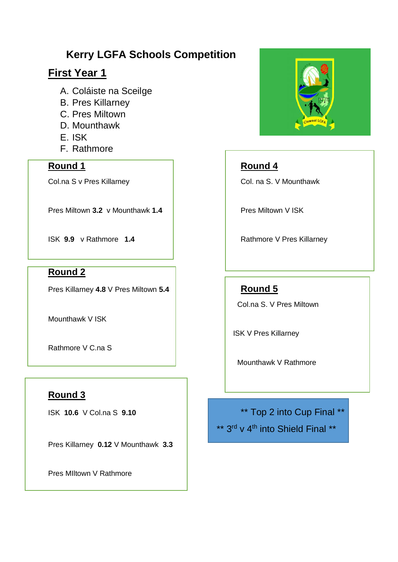## **Kerry LGFA Schools Competition**

## **First Year 1**

- A. Coláiste na Sceilge
- B. Pres Killarney
- C. Pres Miltown
- D. Mounthawk
- E. ISK
- F. Rathmore

### **Round 1 Round 1 Round 4**

Pres Miltown **3.2** v Mounthawk **1.4 Pres Miltown V ISK** 

**ISK 9.9** v Rathmore 1.4 **Rathmore V Pres Killarney** 

#### **Round 2**

Pres Killarney 4.8 V Pres Miltown 5.4 **Round 5** 

Mounthawk V ISK

Rathmore V C.na S

## **Round 3**

Pres Killarney **0.12** V Mounthawk **3.3**

Pres MIltown V Rathmore



Col.na S v Pres Killarney **Col.** na S. V Mounthawk

Col.na S. V Pres Miltown

ISK V Pres Killarney

Mounthawk V Rathmore

ISK **10.6** V Col.na S **9.10** \*\* Top 2 into Cup Final \*\*

\*\* 3<sup>rd</sup> v 4<sup>th</sup> into Shield Final \*\*